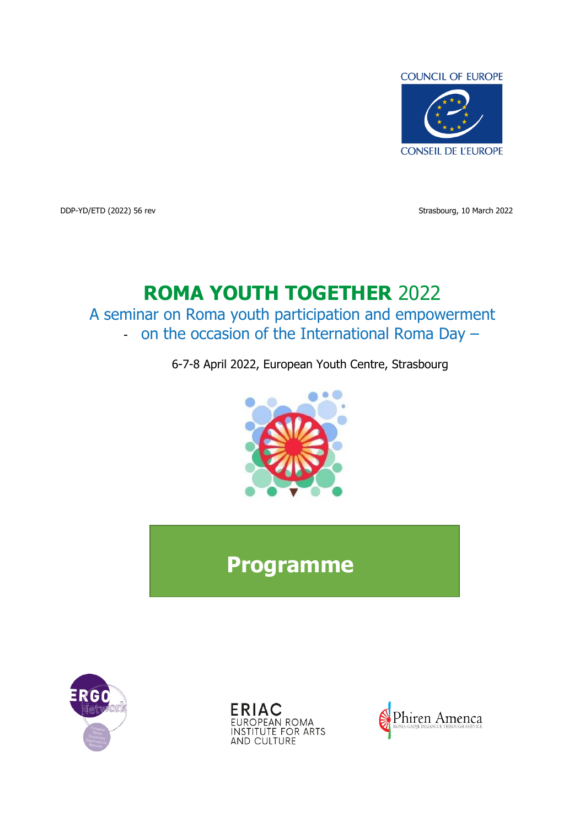

DDP-YD/ETD (2022) 56 rev Strasbourg, 10 March 2022

# **ROMA YOUTH TOGETHER** 2022

A seminar on Roma youth participation and empowerment - on the occasion of the International Roma Day –

6-7-8 April 2022, European Youth Centre, Strasbourg



**Programme**





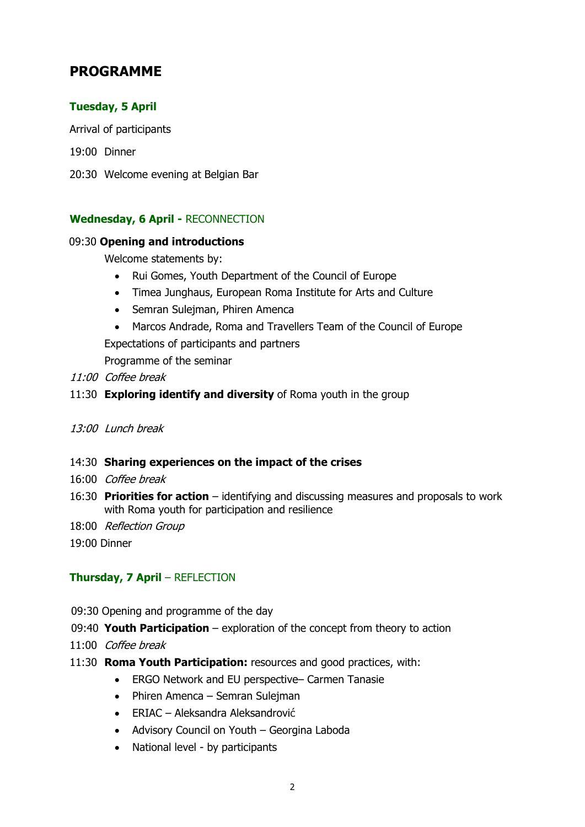# **PROGRAMME**

# **Tuesday, 5 April**

Arrival of participants

- 19:00 Dinner
- 20:30 Welcome evening at Belgian Bar

# **Wednesday, 6 April -** RECONNECTION

#### 09:30 **Opening and introductions**

Welcome statements by:

- Rui Gomes, Youth Department of the Council of Europe
- Timea Junghaus, European Roma Institute for Arts and Culture
- Semran Sulejman, Phiren Amenca
- Marcos Andrade, Roma and Travellers Team of the Council of Europe

Expectations of participants and partners

Programme of the seminar

- 11:00 Coffee break
- 11:30 **Exploring identify and diversity** of Roma youth in the group
- 13:00 Lunch break
- 14:30 **Sharing experiences on the impact of the crises**
- 16:00 Coffee break
- 16:30 **Priorities for action** identifying and discussing measures and proposals to work with Roma youth for participation and resilience
- 18:00 Reflection Group

19:00 Dinner

# **Thursday, 7 April** – REFLECTION

- 09:30 Opening and programme of the day
- 09:40 **Youth Participation**  exploration of the concept from theory to action
- 11:00 Coffee break
- 11:30 **Roma Youth Participation:** resources and good practices, with:
	- ERGO Network and EU perspective– Carmen Tanasie
	- Phiren Amenca Semran Suleiman
	- ERIAC Aleksandra Aleksandrović
	- Advisory Council on Youth Georgina Laboda
	- National level by participants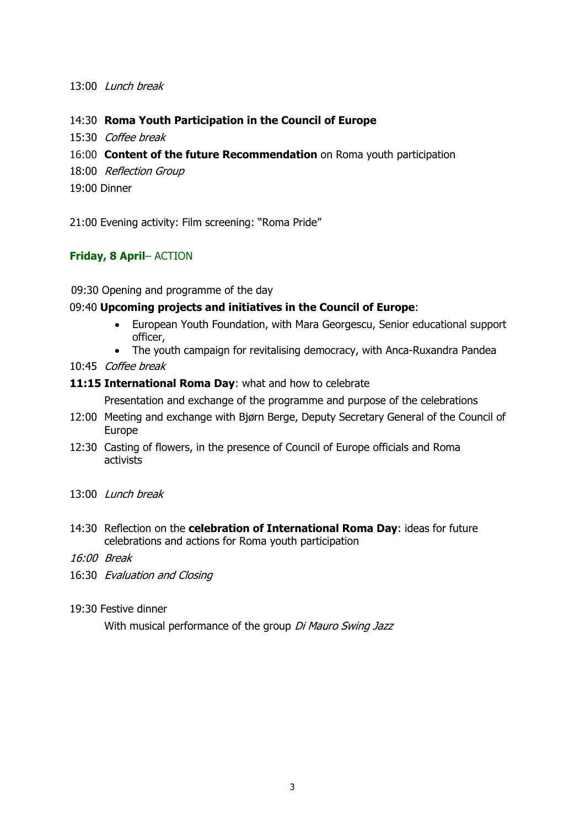#### 13:00 Lunch break

#### 14:30 **Roma Youth Participation in the Council of Europe**

- 15:30 Coffee break
- 16:00 **Content of the future Recommendation** on Roma youth participation
- 18:00 Reflection Group
- 19:00 Dinner

21:00 Evening activity: Film screening: "Roma Pride"

#### **Friday, 8 April**– ACTION

09:30 Opening and programme of the day

#### 09:40 **Upcoming projects and initiatives in the Council of Europe**:

- European Youth Foundation, with Mara Georgescu, Senior educational support officer,
- The youth campaign for revitalising democracy, with Anca-Ruxandra Pandea
- 10:45 Coffee break

#### **11:15 International Roma Day**: what and how to celebrate

Presentation and exchange of the programme and purpose of the celebrations

- 12:00 Meeting and exchange with Bjørn Berge, Deputy Secretary General of the Council of Europe
- 12:30 Casting of flowers, in the presence of Council of Europe officials and Roma activists
- 13:00 Lunch break
- 14:30 Reflection on the **celebration of International Roma Day**: ideas for future celebrations and actions for Roma youth participation
- 16:00 Break
- 16:30 Evaluation and Closing
- 19:30 Festive dinner

With musical performance of the group Di Mauro Swing Jazz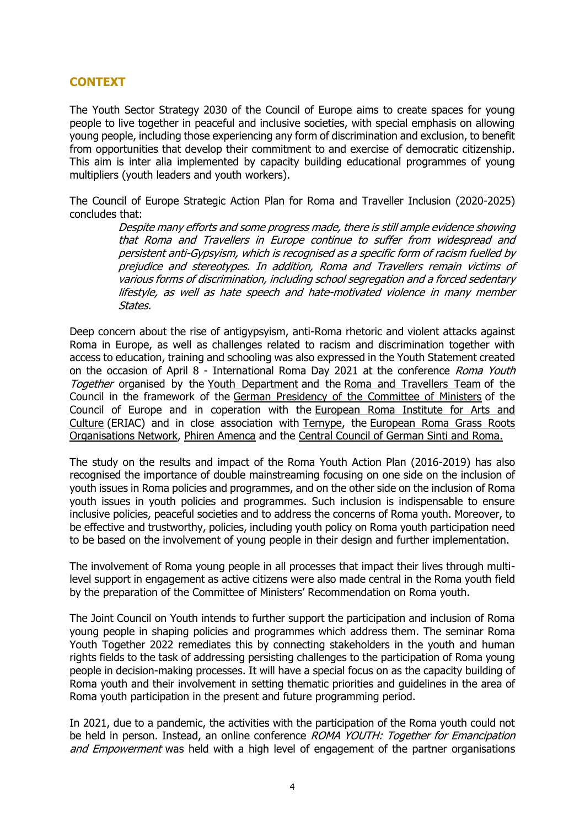# **CONTEXT**

The Youth Sector Strategy 2030 of the Council of Europe aims to create spaces for young people to live together in peaceful and inclusive societies, with special emphasis on allowing young people, including those experiencing any form of discrimination and exclusion, to benefit from opportunities that develop their commitment to and exercise of democratic citizenship. This aim is inter alia implemented by capacity building educational programmes of young multipliers (youth leaders and youth workers).

The Council of Europe Strategic Action Plan for Roma and Traveller Inclusion (2020-2025) concludes that:

> Despite many efforts and some progress made, there is still ample evidence showing that Roma and Travellers in Europe continue to suffer from widespread and persistent anti-Gypsyism, which is recognised as a specific form of racism fuelled by prejudice and stereotypes. In addition, Roma and Travellers remain victims of various forms of discrimination, including school segregation and a forced sedentary lifestyle, as well as hate speech and hate-motivated violence in many member States.

Deep concern about the rise of antigypsyism, anti-Roma rhetoric and violent attacks against Roma in Europe, as well as challenges related to racism and discrimination together with access to education, training and schooling was also expressed in the Youth Statement created on the occasion of April 8 - International Roma Day 2021 at the conference Roma Youth Together organised by the [Youth Department](https://www.coe.int/youth) and the [Roma and Travellers Team](https://www.coe.int/en/web/roma-and-travellers/home) of the Council in the framework of the [German Presidency of the Committee of Ministers](https://www.coe.int/en/web/presidency) of the Council of Europe and in coperation with the [European Roma Institute for Arts and](https://eriac.org/)  [Culture](https://eriac.org/) (ERIAC) and in close association with [Ternype,](http://www.ternype.eu/) the [European Roma Grass Roots](http://www.ergonetwork.org/)  [Organisations Network,](http://www.ergonetwork.org/) [Phiren Amenca](http://www.phirenamenca.eu/) and the [Central Council of German Sinti and Roma.](https://zentralrat.sintiundroma.de/)

The study on the results and impact of the Roma Youth Action Plan (2016-2019) has also recognised the importance of double mainstreaming focusing on one side on the inclusion of youth issues in Roma policies and programmes, and on the other side on the inclusion of Roma youth issues in youth policies and programmes. Such inclusion is indispensable to ensure inclusive policies, peaceful societies and to address the concerns of Roma youth. Moreover, to be effective and trustworthy, policies, including youth policy on Roma youth participation need to be based on the involvement of young people in their design and further implementation.

The involvement of Roma young people in all processes that impact their lives through multilevel support in engagement as active citizens were also made central in the Roma youth field by the preparation of the Committee of Ministers' Recommendation on Roma youth.

The Joint Council on Youth intends to further support the participation and inclusion of Roma young people in shaping policies and programmes which address them. The seminar Roma Youth Together 2022 remediates this by connecting stakeholders in the youth and human rights fields to the task of addressing persisting challenges to the participation of Roma young people in decision-making processes. It will have a special focus on as the capacity building of Roma youth and their involvement in setting thematic priorities and guidelines in the area of Roma youth participation in the present and future programming period.

In 2021, due to a pandemic, the activities with the participation of the Roma youth could not be held in person. Instead, an online conference ROMA YOUTH: Together for Emancipation and Empowerment was held with a high level of engagement of the partner organisations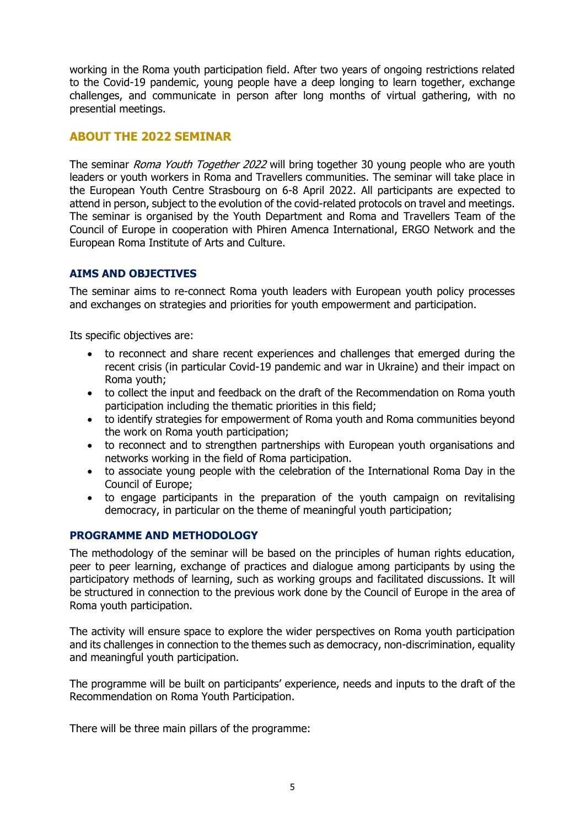working in the Roma youth participation field. After two years of ongoing restrictions related to the Covid-19 pandemic, young people have a deep longing to learn together, exchange challenges, and communicate in person after long months of virtual gathering, with no presential meetings.

## **ABOUT THE 2022 SEMINAR**

The seminar *Roma Youth Together 2022* will bring together 30 young people who are youth leaders or youth workers in Roma and Travellers communities. The seminar will take place in the European Youth Centre Strasbourg on 6-8 April 2022. All participants are expected to attend in person, subject to the evolution of the covid-related protocols on travel and meetings. The seminar is organised by the Youth Department and Roma and Travellers Team of the Council of Europe in cooperation with Phiren Amenca International, ERGO Network and the European Roma Institute of Arts and Culture.

#### **AIMS AND OBJECTIVES**

The seminar aims to re-connect Roma youth leaders with European youth policy processes and exchanges on strategies and priorities for youth empowerment and participation.

Its specific objectives are:

- to reconnect and share recent experiences and challenges that emerged during the recent crisis (in particular Covid-19 pandemic and war in Ukraine) and their impact on Roma youth;
- to collect the input and feedback on the draft of the Recommendation on Roma youth participation including the thematic priorities in this field;
- to identify strategies for empowerment of Roma youth and Roma communities beyond the work on Roma youth participation;
- to reconnect and to strengthen partnerships with European youth organisations and networks working in the field of Roma participation.
- to associate young people with the celebration of the International Roma Day in the Council of Europe;
- to engage participants in the preparation of the youth campaign on revitalising democracy, in particular on the theme of meaningful youth participation;

#### **PROGRAMME AND METHODOLOGY**

The methodology of the seminar will be based on the principles of human rights education, peer to peer learning, exchange of practices and dialogue among participants by using the participatory methods of learning, such as working groups and facilitated discussions. It will be structured in connection to the previous work done by the Council of Europe in the area of Roma youth participation.

The activity will ensure space to explore the wider perspectives on Roma youth participation and its challenges in connection to the themes such as democracy, non-discrimination, equality and meaningful youth participation.

The programme will be built on participants' experience, needs and inputs to the draft of the Recommendation on Roma Youth Participation.

There will be three main pillars of the programme: